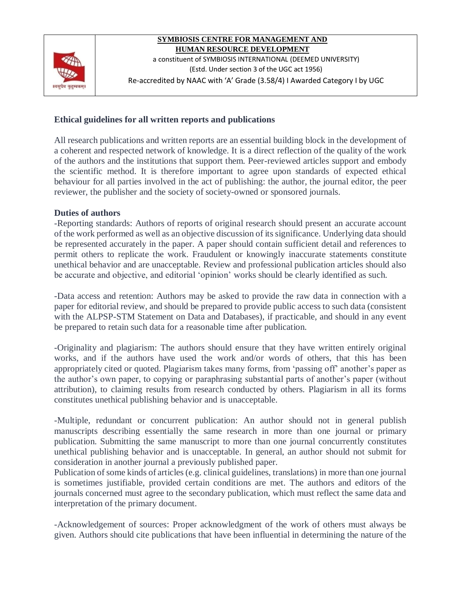#### **SYMBIOSIS CENTRE FOR MANAGEMENT AND HUMAN RESOURCE DEVELOPMENT**



a constituent of SYMBIOSIS INTERNATIONAL (DEEMED UNIVERSITY) (Estd. Under section 3 of the UGC act 1956) Re-accredited by NAAC with 'A' Grade (3.58/4) I Awarded Category I by UGC

# **Ethical guidelines for all written reports and publications**

All research publications and written reports are an essential building block in the development of a coherent and respected network of knowledge. It is a direct reflection of the quality of the work of the authors and the institutions that support them. Peer-reviewed articles support and embody the scientific method. It is therefore important to agree upon standards of expected ethical behaviour for all parties involved in the act of publishing: the author, the journal editor, the peer reviewer, the publisher and the society of society-owned or sponsored journals.

### **Duties of authors**

-Reporting standards: Authors of reports of original research should present an accurate account of the work performed as well as an objective discussion of its significance. Underlying data should be represented accurately in the paper. A paper should contain sufficient detail and references to permit others to replicate the work. Fraudulent or knowingly inaccurate statements constitute unethical behavior and are unacceptable. Review and professional publication articles should also be accurate and objective, and editorial 'opinion' works should be clearly identified as such.

-Data access and retention: Authors may be asked to provide the raw data in connection with a paper for editorial review, and should be prepared to provide public access to such data (consistent with the ALPSP-STM Statement on Data and Databases), if practicable, and should in any event be prepared to retain such data for a reasonable time after publication.

-Originality and plagiarism: The authors should ensure that they have written entirely original works, and if the authors have used the work and/or words of others, that this has been appropriately cited or quoted. Plagiarism takes many forms, from 'passing off' another's paper as the author's own paper, to copying or paraphrasing substantial parts of another's paper (without attribution), to claiming results from research conducted by others. Plagiarism in all its forms constitutes unethical publishing behavior and is unacceptable.

-Multiple, redundant or concurrent publication: An author should not in general publish manuscripts describing essentially the same research in more than one journal or primary publication. Submitting the same manuscript to more than one journal concurrently constitutes unethical publishing behavior and is unacceptable. In general, an author should not submit for consideration in another journal a previously published paper.

Publication of some kinds of articles (e.g. clinical guidelines, translations) in more than one journal is sometimes justifiable, provided certain conditions are met. The authors and editors of the journals concerned must agree to the secondary publication, which must reflect the same data and interpretation of the primary document.

-Acknowledgement of sources: Proper acknowledgment of the work of others must always be given. Authors should cite publications that have been influential in determining the nature of the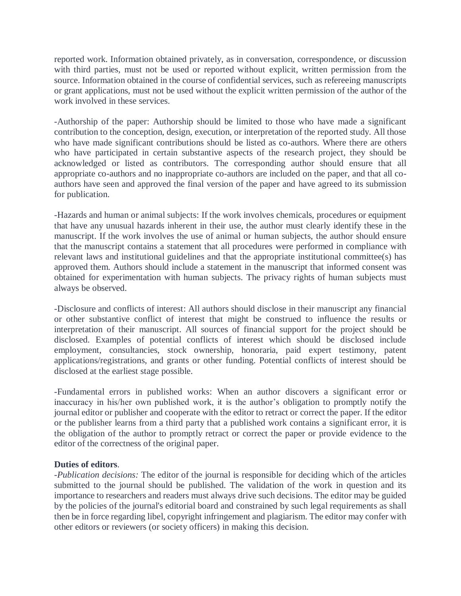reported work. Information obtained privately, as in conversation, correspondence, or discussion with third parties, must not be used or reported without explicit, written permission from the source. Information obtained in the course of confidential services, such as refereeing manuscripts or grant applications, must not be used without the explicit written permission of the author of the work involved in these services.

-Authorship of the paper: Authorship should be limited to those who have made a significant contribution to the conception, design, execution, or interpretation of the reported study. All those who have made significant contributions should be listed as co-authors. Where there are others who have participated in certain substantive aspects of the research project, they should be acknowledged or listed as contributors. The corresponding author should ensure that all appropriate co-authors and no inappropriate co-authors are included on the paper, and that all coauthors have seen and approved the final version of the paper and have agreed to its submission for publication.

-Hazards and human or animal subjects: If the work involves chemicals, procedures or equipment that have any unusual hazards inherent in their use, the author must clearly identify these in the manuscript. If the work involves the use of animal or human subjects, the author should ensure that the manuscript contains a statement that all procedures were performed in compliance with relevant laws and institutional guidelines and that the appropriate institutional committee(s) has approved them. Authors should include a statement in the manuscript that informed consent was obtained for experimentation with human subjects. The privacy rights of human subjects must always be observed.

-Disclosure and conflicts of interest: All authors should disclose in their manuscript any financial or other substantive conflict of interest that might be construed to influence the results or interpretation of their manuscript. All sources of financial support for the project should be disclosed. Examples of potential conflicts of interest which should be disclosed include employment, consultancies, stock ownership, honoraria, paid expert testimony, patent applications/registrations, and grants or other funding. Potential conflicts of interest should be disclosed at the earliest stage possible.

-Fundamental errors in published works: When an author discovers a significant error or inaccuracy in his/her own published work, it is the author's obligation to promptly notify the journal editor or publisher and cooperate with the editor to retract or correct the paper. If the editor or the publisher learns from a third party that a published work contains a significant error, it is the obligation of the author to promptly retract or correct the paper or provide evidence to the editor of the correctness of the original paper.

## **Duties of editors**.

*-Publication decisions:* The editor of the journal is responsible for deciding which of the articles submitted to the journal should be published. The validation of the work in question and its importance to researchers and readers must always drive such decisions. The editor may be guided by the policies of the journal's editorial board and constrained by such legal requirements as shall then be in force regarding libel, copyright infringement and plagiarism. The editor may confer with other editors or reviewers (or society officers) in making this decision.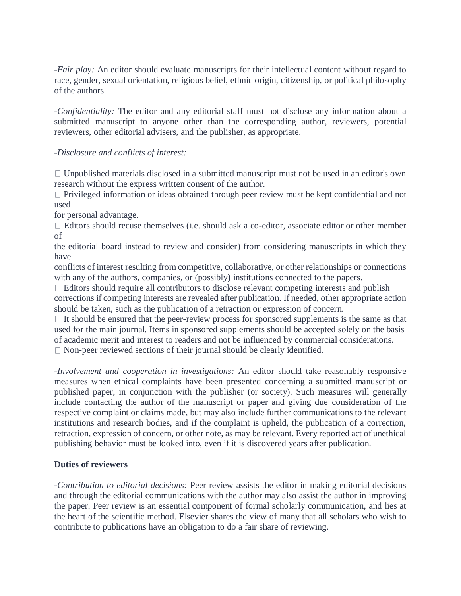*-Fair play:* An editor should evaluate manuscripts for their intellectual content without regard to race, gender, sexual orientation, religious belief, ethnic origin, citizenship, or political philosophy of the authors.

*-Confidentiality:* The editor and any editorial staff must not disclose any information about a submitted manuscript to anyone other than the corresponding author, reviewers, potential reviewers, other editorial advisers, and the publisher, as appropriate.

### *-Disclosure and conflicts of interest:*

Unpublished materials disclosed in a submitted manuscript must not be used in an editor's own research without the express written consent of the author.

 $\Box$  Privileged information or ideas obtained through peer review must be kept confidential and not used

for personal advantage.

 $\Box$  Editors should recuse themselves (i.e. should ask a co-editor, associate editor or other member of

the editorial board instead to review and consider) from considering manuscripts in which they have

conflicts of interest resulting from competitive, collaborative, or other relationships or connections with any of the authors, companies, or (possibly) institutions connected to the papers.

 $\Box$  Editors should require all contributors to disclose relevant competing interests and publish corrections if competing interests are revealed after publication. If needed, other appropriate action should be taken, such as the publication of a retraction or expression of concern.

 $\Box$  It should be ensured that the peer-review process for sponsored supplements is the same as that used for the main journal. Items in sponsored supplements should be accepted solely on the basis of academic merit and interest to readers and not be influenced by commercial considerations.

 $\Box$  Non-peer reviewed sections of their journal should be clearly identified.

*-Involvement and cooperation in investigations:* An editor should take reasonably responsive measures when ethical complaints have been presented concerning a submitted manuscript or published paper, in conjunction with the publisher (or society). Such measures will generally include contacting the author of the manuscript or paper and giving due consideration of the respective complaint or claims made, but may also include further communications to the relevant institutions and research bodies, and if the complaint is upheld, the publication of a correction, retraction, expression of concern, or other note, as may be relevant. Every reported act of unethical publishing behavior must be looked into, even if it is discovered years after publication.

## **Duties of reviewers**

*-Contribution to editorial decisions:* Peer review assists the editor in making editorial decisions and through the editorial communications with the author may also assist the author in improving the paper. Peer review is an essential component of formal scholarly communication, and lies at the heart of the scientific method. Elsevier shares the view of many that all scholars who wish to contribute to publications have an obligation to do a fair share of reviewing.